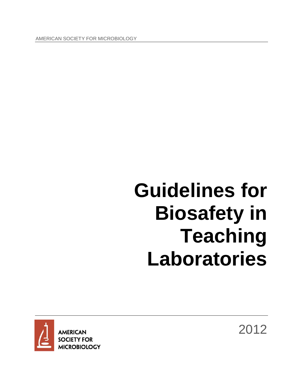AMERICAN SOCIETY FOR MICROBIOLOGY

# **Guidelines for Biosafety in Teaching Laboratories**

**AMERICAN SOCIETY FOR MICROBIOLOGY** 

2012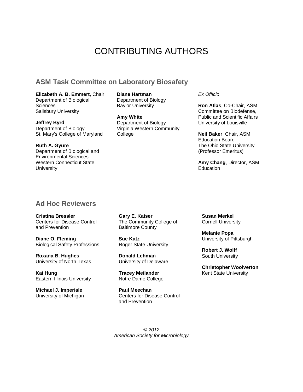## CONTRIBUTING AUTHORS

### **ASM Task Committee on Laboratory Biosafety**

**Elizabeth A. B. Emmert**, Chair Department of Biological **Sciences** Salisbury University

**Jeffrey Byrd** Department of Biology St. Mary's College of Maryland

**Ruth A. Gyure** Department of Biological and Environmental Sciences Western Connecticut State **University** 

#### **Diane Hartman**

Department of Biology Baylor University

**Amy White** Department of Biology Virginia Western Community College

*Ex Officio*

**Ron Atlas**, Co-Chair, ASM Committee on Biodefense, Public and Scientific Affairs University of Louisville

**Neil Baker**, Chair, ASM Education Board The Ohio State University (Professor Emeritus)

**Amy Chang**, Director, ASM Education

## **Ad Hoc Reviewers**

**Cristina Bressler** Centers for Disease Control and Prevention

**Diane O. Fleming** Biological Safety Professions

**Roxana B. Hughes** University of North Texas

**Kai Hung** Eastern Illinois University

**Michael J. Imperiale** University of Michigan **Gary E. Kaiser** The Community College of Baltimore County

**Sue Katz** Roger State University

**Donald Lehman** University of Delaware

**Tracey Meilander** Notre Dame College

**Paul Meechan** Centers for Disease Control and Prevention

**Susan Merkel** Cornell University

**Melanie Popa** University of Pittsburgh

**Robert J. Wolff** South University

**Christopher Woolverton** Kent State University

*© 2012 American Society for Microbiology*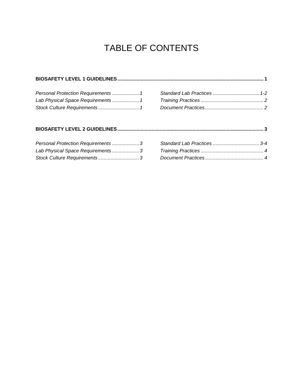# TABLE OF CONTENTS

| Personal Protection Requirements  3 |  |  |
|-------------------------------------|--|--|
| Lab Physical Space Requirements3    |  |  |

*Stock Culture Requirements ..............................3 Document Practices........................................... 4*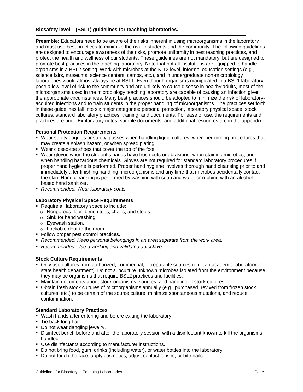#### **Biosafety level 1 (BSL1) guidelines for teaching laboratories.**

**Preamble:** Educators need to be aware of the risks inherent in using microorganisms in the laboratory and must use best practices to minimize the risk to students and the community. The following guidelines are designed to encourage awareness of the risks, promote uniformity in best teaching practices, and protect the health and wellness of our students. These guidelines are not mandatory, but are designed to promote best practices in the teaching laboratory. Note that not all institutions are equipped to handle organisms in a BSL2 setting. Work with microbes at the K-12 level, informal education settings (e.g., science fairs, museums, science centers, camps, etc.), and in undergraduate non-microbiology laboratories would almost always be at BSL1. Even though organisms manipulated in a BSL1 laboratory pose a low level of risk to the community and are unlikely to cause disease in healthy adults, most of the microorganisms used in the microbiology teaching laboratory are capable of causing an infection given the appropriate circumstances. Many best practices should be adopted to minimize the risk of laboratoryacquired infections and to train students in the proper handling of microorganisms. The practices set forth in these guidelines fall into six major categories: personal protection, laboratory physical space, stock cultures, standard laboratory practices, training, and documents. For ease of use, the requirements and practices are brief. Explanatory notes, sample documents, and additional resources are in the appendix.

#### **Personal Protection Requirements**

- Wear safety goggles or safety glasses when handling liquid cultures, when performing procedures that may create a splash hazard, or when spread plating.
- Wear closed-toe shoes that cover the top of the foot.
- Wear gloves when the student's hands have fresh cuts or abrasions, when staining microbes, and when handling hazardous chemicals. Gloves are not required for standard laboratory procedures if proper hand hygiene is performed. Proper hand hygiene involves thorough hand cleansing prior to and immediately after finishing handling microorganisms and any time that microbes accidentally contact the skin. Hand cleansing is performed by washing with soap and water or rubbing with an alcoholbased hand sanitizer.
- *Recommended: Wear laboratory coats.*

#### **Laboratory Physical Space Requirements**

- Require all laboratory space to include:
	- o Nonporous floor, bench tops, chairs, and stools.
	- o Sink for hand washing.
	- o Eyewash station.
	- o Lockable door to the room.
- Follow proper pest control practices.
- *Recommended: Keep personal belongings in an area separate from the work area.*
- *Recommended: Use a working and validated autoclave.*

#### **Stock Culture Requirements**

- Only use cultures from authorized, commercial, or reputable sources (e.g., an academic laboratory or state health department). Do not subculture unknown microbes isolated from the environment because they may be organisms that require BSL2 practices and facilities.
- **Maintain documents about stock organisms, sources, and handling of stock cultures.**
- Obtain fresh stock cultures of microorganisms annually (e.g., purchased, revived from frozen stock cultures, etc.) to be certain of the source culture, minimize spontaneous mutations, and reduce contamination.

#### **Standard Laboratory Practices**

- Wash hands after entering and before exiting the laboratory.
- **Tie back long hair.**
- Do not wear dangling jewelry.
- Disinfect bench before and after the laboratory session with a disinfectant known to kill the organisms handled.
- Use disinfectants according to manufacturer instructions.
- Do not bring food, gum, drinks (including water), or water bottles into the laboratory.
- Do not touch the face, apply cosmetics, adjust contact lenses, or bite nails.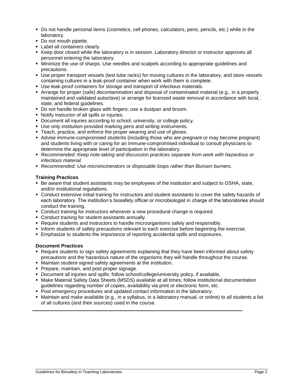- Do not handle personal items (cosmetics, cell phones, calculators, pens, pencils, etc.) while in the laboratory.
- Do not mouth pipette.
- **Label all containers clearly.**
- Keep door closed while the laboratory is in session. Laboratory director or instructor approves all personnel entering the laboratory.
- Minimize the use of sharps. Use needles and scalpels according to appropriate guidelines and precautions.
- Use proper transport vessels (test tube racks) for moving cultures in the laboratory, and store vessels containing cultures in a leak-proof container when work with them is complete.
- Use leak-proof containers for storage and transport of infectious materials.
- Arrange for proper (safe) decontamination and disposal of contaminated material (e.g., in a properly maintained and validated autoclave) or arrange for licensed waste removal in accordance with local, state, and federal guidelines.
- Do not handle broken glass with fingers; use a dustpan and broom.
- Notify instructor of all spills or injuries.
- Document all injuries according to school, university, or college policy.
- Use only institution-provided marking pens and writing instruments.
- Teach, practice, and enforce the proper wearing and use of gloves.
- Advise immune-compromised students (including those who are pregnant or may become pregnant) and students living with or caring for an immune-compromised individual to consult physicians to determine the appropriate level of participation in the laboratory.
- **Recommended: Keep note-taking and discussion practices separate from work with hazardous or** *infectious material.*
- *Recommended: Use microincinerators or disposable loops rather than Bunsen burners.*

#### **Training Practices**

- Be aware that student assistants may be employees of the institution and subject to OSHA, state, and/or institutional regulations.
- Conduct extensive initial training for instructors and student assistants to cover the safety hazards of each laboratory. The institution's biosafety officer or microbiologist in charge of the laboratories should conduct the training.
- Conduct training for instructors whenever a new procedural change is required.
- Conduct training for student assistants annually.
- **Require students and instructors to handle microorganisms safely and responsibly.**
- Inform students of safety precautions relevant to each exercise before beginning the exercise.
- **Emphasize to students the importance of reporting accidental spills and exposures.**

#### **Document Practices**

- Require students to sign safety agreements explaining that they have been informed about safety precautions and the hazardous nature of the organisms they will handle throughout the course.
- Maintain student-signed safety agreements at the institution.
- **Prepare, maintain, and post proper signage.**
- Document all injuries and spills; follow school/college/university policy, if available.
- Make Material Safety Data Sheets (MSDS) available at all times; follow institutional documentation guidelines regarding number of copies, availability via print or electronic form, etc.
- **Post emergency procedures and updated contact information in the laboratory.**
- Maintain and make available (e.g., in a syllabus, in a laboratory manual, or online) to all students a list of all cultures (and their sources) used in the course.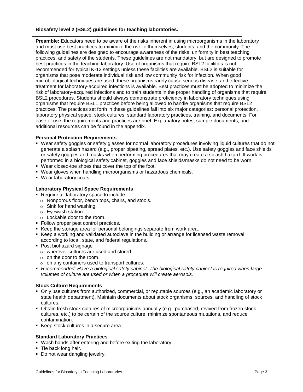#### **Biosafety level 2 (BSL2) guidelines for teaching laboratories.**

**Preamble:** Educators need to be aware of the risks inherent in using microorganisms in the laboratory and must use best practices to minimize the risk to themselves, students, and the community. The following guidelines are designed to encourage awareness of the risks, uniformity in best teaching practices, and safety of the students. These guidelines are not mandatory, but are designed to promote best practices in the teaching laboratory. Use of organisms that require BSL2 facilities is not recommended for typical K-12 settings unless these facilities are available. BSL2 is suitable for organisms that pose moderate individual risk and low community risk for infection. When good microbiological techniques are used, these organisms rarely cause serious disease, and effective treatment for laboratory-acquired infections is available. Best practices must be adopted to minimize the risk of laboratory-acquired infections and to train students in the proper handling of organisms that require BSL2 procedures. Students should always demonstrate proficiency in laboratory techniques using organisms that require BSL1 practices before being allowed to handle organisms that require BSL2 practices. The practices set forth in these guidelines fall into six major categories: personal protection, laboratory physical space, stock cultures, standard laboratory practices, training, and documents. For ease of use, the requirements and practices are brief. Explanatory notes, sample documents, and additional resources can be found in the appendix.

#### **Personal Protection Requirements**

- Wear safety goggles or safety glasses for normal laboratory procedures involving liquid cultures that do not generate a splash hazard (e.g., proper pipetting, spread plates, etc.). Use safety goggles and face shields or safety goggles and masks when performing procedures that may create a splash hazard. If work is performed in a biological safety cabinet, goggles and face shields/masks do not need to be worn.
- Wear closed-toe shoes that cover the top of the foot.
- Wear gloves when handling microorganisms or hazardous chemicals.
- Wear laboratory coats.

#### **Laboratory Physical Space Requirements**

- Require all laboratory space to include:
	- o Nonporous floor, bench tops, chairs, and stools.
	- $\circ$  Sink for hand washing.
	- o Eyewash station.
- o Lockable door to the room.
- Follow proper pest control practices.
- Keep the storage area for personal belongings separate from work area.
- Keep a working and validated autoclave in the building or arrange for licensed waste removal according to local, state, and federal regulations..
- Post biohazard signage
	- o wherever cultures are used and stored.
	- $\circ$  on the door to the room.
	- o on any containers used to transport cultures.
- **Recommended: Have a biological safety cabinet. The biological safety cabinet is required when large** *volumes of culture are used or when a procedure will create aerosols.*

#### **Stock Culture Requirements**

- Only use cultures from authorized, commercial, or reputable sources (e.g., an academic laboratory or state health department). Maintain documents about stock organisms, sources, and handling of stock cultures.
- Obtain fresh stock cultures of microorganisms annually (e.g., purchased, revived from frozen stock cultures, etc.) to be certain of the source culture, minimize spontaneous mutations, and reduce contamination.
- Keep stock cultures in a secure area.

#### **Standard Laboratory Practices**

- Wash hands after entering and before exiting the laboratory.
- **Tie back long hair.**
- Do not wear dangling jewelry.